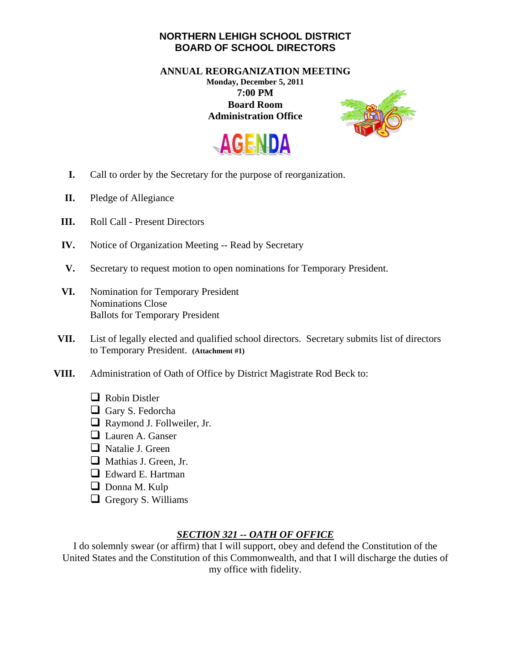## **NORTHERN LEHIGH SCHOOL DISTRICT BOARD OF SCHOOL DIRECTORS**

**ANNUAL REORGANIZATION MEETING Monday, December 5, 2011 7:00 PM Board Room Administration Office** 





- **I.** Call to order by the Secretary for the purpose of reorganization.
- **II.** Pledge of Allegiance
- **III.** Roll Call Present Directors
- **IV.** Notice of Organization Meeting -- Read by Secretary
- **V.** Secretary to request motion to open nominations for Temporary President.
- **VI.** Nomination for Temporary President Nominations Close Ballots for Temporary President
- **VII.** List of legally elected and qualified school directors. Secretary submits list of directors to Temporary President. **(Attachment #1)**
- **VIII.** Administration of Oath of Office by District Magistrate Rod Beck to:
	- Robin Distler
	- Gary S. Fedorcha
	- Raymond J. Follweiler, Jr.
	- **Lauren A. Ganser**
	- Natalie J. Green
	- Mathias J. Green, Jr.
	- **E** Edward E. Hartman
	- Donna M. Kulp
	- Gregory S. Williams

## *SECTION 321 -- OATH OF OFFICE*

I do solemnly swear (or affirm) that I will support, obey and defend the Constitution of the United States and the Constitution of this Commonwealth, and that I will discharge the duties of my office with fidelity.